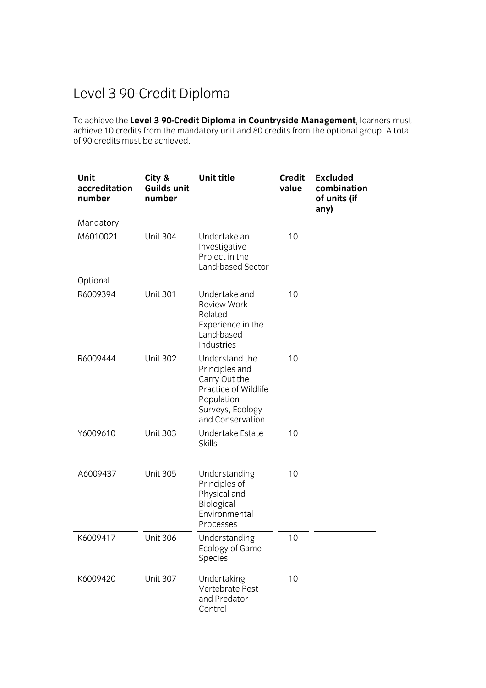## Level 3 90-Credit Diploma

To achieve the **Level 3 90-Credit Diploma in Countryside Management**, learners must achieve 10 credits from the mandatory unit and 80 credits from the optional group. A total of 90 credits must be achieved.

| Unit<br>accreditation<br>number | City &<br><b>Guilds unit</b><br>number | <b>Unit title</b>                                                                                                               | <b>Credit</b><br>value | <b>Excluded</b><br>combination<br>of units (if<br>any) |
|---------------------------------|----------------------------------------|---------------------------------------------------------------------------------------------------------------------------------|------------------------|--------------------------------------------------------|
| Mandatory                       |                                        |                                                                                                                                 |                        |                                                        |
| M6010021                        | <b>Unit 304</b>                        | Undertake an<br>Investigative<br>Project in the<br>Land-based Sector                                                            | 10                     |                                                        |
| Optional                        |                                        |                                                                                                                                 |                        |                                                        |
| R6009394                        | <b>Unit 301</b>                        | Undertake and<br><b>Review Work</b><br>Related<br>Experience in the<br>Land-based<br>Industries                                 | 10                     |                                                        |
| R6009444                        | <b>Unit 302</b>                        | Understand the<br>Principles and<br>Carry Out the<br>Practice of Wildlife<br>Population<br>Surveys, Ecology<br>and Conservation | 10                     |                                                        |
| Y6009610                        | <b>Unit 303</b>                        | Undertake Estate<br><b>Skills</b>                                                                                               | 10                     |                                                        |
| A6009437                        | <b>Unit 305</b>                        | Understanding<br>Principles of<br>Physical and<br>Biological<br>Environmental<br>Processes                                      | 10                     |                                                        |
| K6009417                        | <b>Unit 306</b>                        | Understanding<br>Ecology of Game<br>Species                                                                                     | 10                     |                                                        |
| K6009420                        | <b>Unit 307</b>                        | Undertaking<br>Vertebrate Pest<br>and Predator<br>Control                                                                       | 10                     |                                                        |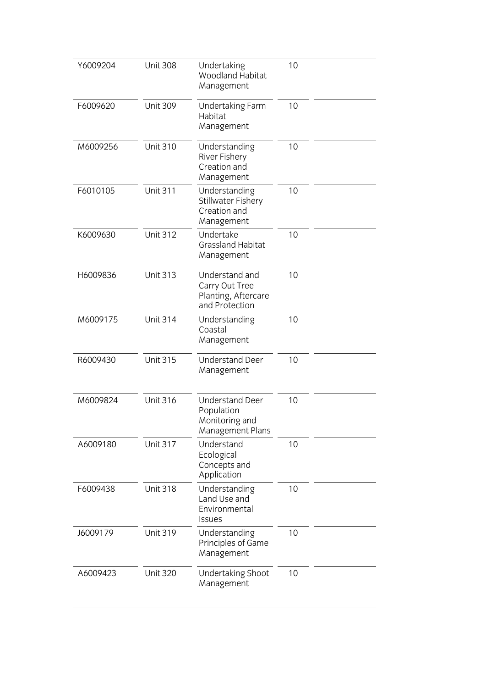| Y6009204 | <b>Unit 308</b> | Undertaking<br>Woodland Habitat<br>Management                              | 10 |  |
|----------|-----------------|----------------------------------------------------------------------------|----|--|
| F6009620 | <b>Unit 309</b> | <b>Undertaking Farm</b><br>Habitat<br>Management                           | 10 |  |
| M6009256 | <b>Unit 310</b> | Understanding<br>River Fishery<br>Creation and<br>Management               | 10 |  |
| F6010105 | <b>Unit 311</b> | Understanding<br>Stillwater Fishery<br>Creation and<br>Management          | 10 |  |
| K6009630 | <b>Unit 312</b> | Undertake<br><b>Grassland Habitat</b><br>Management                        | 10 |  |
| H6009836 | <b>Unit 313</b> | Understand and<br>Carry Out Tree<br>Planting, Aftercare<br>and Protection  | 10 |  |
| M6009175 | <b>Unit 314</b> | Understanding<br>Coastal<br>Management                                     | 10 |  |
| R6009430 | <b>Unit 315</b> | <b>Understand Deer</b><br>Management                                       | 10 |  |
| M6009824 | <b>Unit 316</b> | <b>Understand Deer</b><br>Population<br>Monitoring and<br>Management Plans | 10 |  |
| A6009180 | <b>Unit 317</b> | Understand<br>Ecological<br>Concepts and<br>Application                    | 10 |  |
| F6009438 | <b>Unit 318</b> | Understanding<br>Land Use and<br>Environmental<br><b>Issues</b>            | 10 |  |
| J6009179 | <b>Unit 319</b> | Understanding<br>Principles of Game<br>Management                          | 10 |  |
| A6009423 | <b>Unit 320</b> | Undertaking Shoot<br>Management                                            | 10 |  |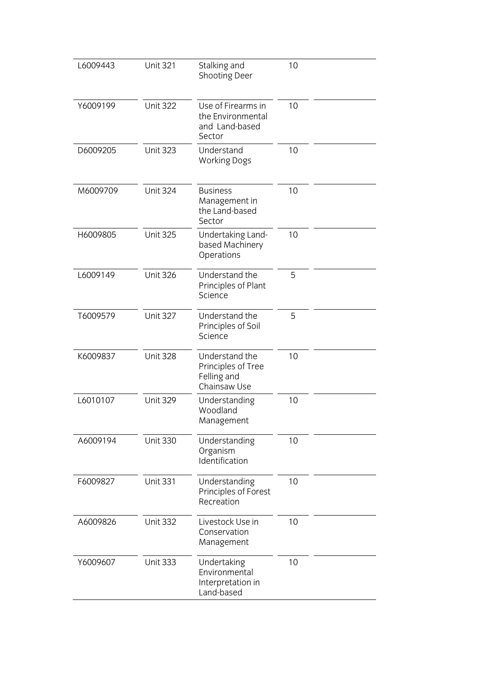| L6009443 | <b>Unit 321</b> | Stalking and<br>Shooting Deer                                       | 10 |  |
|----------|-----------------|---------------------------------------------------------------------|----|--|
| Y6009199 | <b>Unit 322</b> | Use of Firearms in<br>the Environmental<br>and Land-based<br>Sector | 10 |  |
| D6009205 | <b>Unit 323</b> | Understand<br><b>Working Dogs</b>                                   | 10 |  |
| M6009709 | <b>Unit 324</b> | <b>Business</b><br>Management in<br>the Land-based<br>Sector        | 10 |  |
| H6009805 | <b>Unit 325</b> | Undertaking Land-<br>based Machinery<br>Operations                  | 10 |  |
| L6009149 | <b>Unit 326</b> | Understand the<br>Principles of Plant<br>Science                    | 5  |  |
| T6009579 | <b>Unit 327</b> | Understand the<br>Principles of Soil<br>Science                     | 5  |  |
| K6009837 | <b>Unit 328</b> | Understand the<br>Principles of Tree<br>Felling and<br>Chainsaw Use | 10 |  |
| L6010107 | <b>Unit 329</b> | Understanding<br>Woodland<br>Management                             | 10 |  |
| A6009194 | <b>Unit 330</b> | Understanding<br>Organism<br>Identification                         | 10 |  |
| F6009827 | <b>Unit 331</b> | Understanding<br>Principles of Forest<br>Recreation                 | 10 |  |
| A6009826 | <b>Unit 332</b> | Livestock Use in<br>Conservation<br>Management                      | 10 |  |
| Y6009607 | <b>Unit 333</b> | Undertaking<br>Environmental<br>Interpretation in<br>Land-based     | 10 |  |